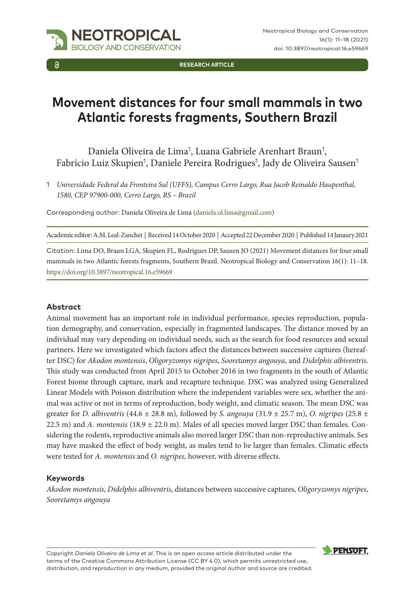

**RESEARCH ARTICLE**

# **Movement distances for four small mammals in two Atlantic forests fragments, Southern Brazil**

Daniela Oliveira de Lima<sup>1</sup>, Luana Gabriele Arenhart Braun<sup>1</sup>, Fabrício Luiz Skupien<sup>1</sup>, Daniele Pereira Rodrigues<sup>1</sup>, Jady de Oliveira Sausen<sup>1</sup>

1 *Universidade Federal da Fronteira Sul (UFFS), Campus Cerro Largo, Rua Jacob Reinaldo Haupenthal, 1580, CEP 97900-000, Cerro Largo, RS – Brazil*

Corresponding author: Daniela Oliveira de Lima ([daniela.ol.lima@gmail.com\)](mailto:daniela.ol.lima@gmail.com)

Academic editor: A.M. Leal-Zanchet | Received 14 October 2020 | Accepted 22 December 2020 | Published 14 Janaury 2021

Citation: Lima DO, Braun LGA, Skupien FL, Rodrigues DP, Sausen JO (2021) Movement distances for four small mammals in two Atlantic forests fragments, Southern Brazil. Neotropical Biology and Conservation 16(1): 11–18. <https://doi.org/10.3897/neotropical.16.e59669>

### **Abstract**

Animal movement has an important role in individual performance, species reproduction, population demography, and conservation, especially in fragmented landscapes. The distance moved by an individual may vary depending on individual needs, such as the search for food resources and sexual partners. Here we investigated which factors affect the distances between successive captures (hereafter DSC) for *Akodon montensis*, *Oligoryzomys nigripes*, *Sooretamys angouya*, and *Didelphis albiventris*. This study was conducted from April 2015 to October 2016 in two fragments in the south of Atlantic Forest biome through capture, mark and recapture technique. DSC was analyzed using Generalized Linear Models with Poisson distribution where the independent variables were sex, whether the animal was active or not in terms of reproduction, body weight, and climatic season. The mean DSC was greater for *D. albiventris* (44.6 ± 28.8 m), followed by *S. angouya* (31.9 ± 25.7 m), *O. nigripes* (25.8 ± 22.5 m) and *A. montensis* (18.9 ± 22.0 m). Males of all species moved larger DSC than females. Considering the rodents, reproductive animals also moved larger DSC than non-reproductive animals. Sex may have masked the effect of body weight, as males tend to be larger than females. Climatic effects were tested for *A. montensis* and *O. nigripes*, however, with diverse effects.

### **Keywords**

*Akodon montensis*, *Didelphis albiventris*, distances between successive captures, *Oligoryzomys nigripes*, *Sooretamys angouya*

Copyright *Daniela Oliveira de Lima et al*. This is an open access article distributed under the terms of the [Creative Commons Attribution License \(CC BY 4.0\)](http://creativecommons.org/licenses/by/4.0/), which permits unrestricted use, distribution, and reproduction in any medium, provided the original author and source are credited.

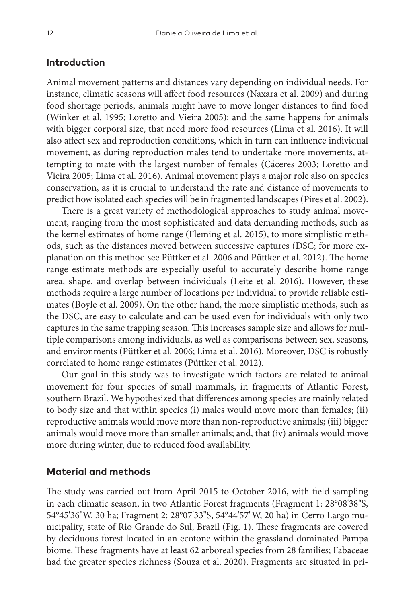## **Introduction**

Animal movement patterns and distances vary depending on individual needs. For instance, climatic seasons will affect food resources (Naxara et al. 2009) and during food shortage periods, animals might have to move longer distances to find food (Winker et al. 1995; Loretto and Vieira 2005); and the same happens for animals with bigger corporal size, that need more food resources (Lima et al. 2016). It will also affect sex and reproduction conditions, which in turn can influence individual movement, as during reproduction males tend to undertake more movements, attempting to mate with the largest number of females (Cáceres 2003; Loretto and Vieira 2005; Lima et al. 2016). Animal movement plays a major role also on species conservation, as it is crucial to understand the rate and distance of movements to predict how isolated each species will be in fragmented landscapes (Pires et al. 2002).

There is a great variety of methodological approaches to study animal movement, ranging from the most sophisticated and data demanding methods, such as the kernel estimates of home range (Fleming et al. 2015), to more simplistic methods, such as the distances moved between successive captures (DSC; for more explanation on this method see Püttker et al. 2006 and Püttker et al. 2012). The home range estimate methods are especially useful to accurately describe home range area, shape, and overlap between individuals (Leite et al. 2016). However, these methods require a large number of locations per individual to provide reliable estimates (Boyle et al. 2009). On the other hand, the more simplistic methods, such as the DSC, are easy to calculate and can be used even for individuals with only two captures in the same trapping season. This increases sample size and allows for multiple comparisons among individuals, as well as comparisons between sex, seasons, and environments (Püttker et al. 2006; Lima et al. 2016). Moreover, DSC is robustly correlated to home range estimates (Püttker et al. 2012).

Our goal in this study was to investigate which factors are related to animal movement for four species of small mammals, in fragments of Atlantic Forest, southern Brazil. We hypothesized that differences among species are mainly related to body size and that within species (i) males would move more than females; (ii) reproductive animals would move more than non-reproductive animals; (iii) bigger animals would move more than smaller animals; and, that (iv) animals would move more during winter, due to reduced food availability.

# **Material and methods**

The study was carried out from April 2015 to October 2016, with field sampling in each climatic season, in two Atlantic Forest fragments (Fragment 1: 28°08'38"S, 54°45'36"W, 30 ha; Fragment 2: 28°07'33"S, 54°44'57"W, 20 ha) in Cerro Largo municipality, state of Rio Grande do Sul, Brazil (Fig. 1). These fragments are covered by deciduous forest located in an ecotone within the grassland dominated Pampa biome. These fragments have at least 62 arboreal species from 28 families; Fabaceae had the greater species richness (Souza et al. 2020). Fragments are situated in pri-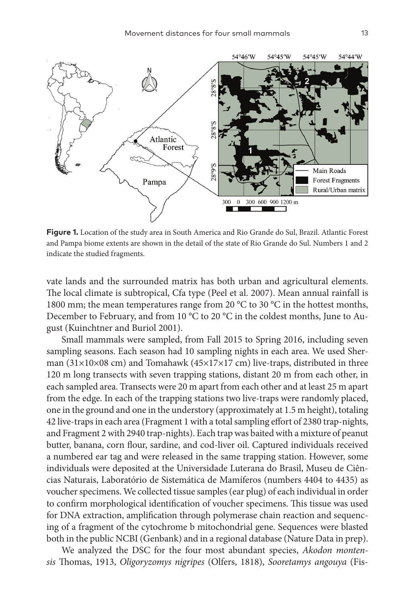

**Figure 1.** Location of the study area in South America and Rio Grande do Sul, Brazil. Atlantic Forest and Pampa biome extents are shown in the detail of the state of Rio Grande do Sul. Numbers 1 and 2 indicate the studied fragments.

vate lands and the surrounded matrix has both urban and agricultural elements. The local climate is subtropical, Cfa type (Peel et al. 2007). Mean annual rainfall is 1800 mm; the mean temperatures range from 20 °C to 30 °C in the hottest months, December to February, and from 10 °C to 20 °C in the coldest months, June to August (Kuinchtner and Buriol 2001).

Small mammals were sampled, from Fall 2015 to Spring 2016, including seven sampling seasons. Each season had 10 sampling nights in each area. We used Sherman (31×10×08 cm) and Tomahawk (45×17×17 cm) live-traps, distributed in three 120 m long transects with seven trapping stations, distant 20 m from each other, in each sampled area. Transects were 20 m apart from each other and at least 25 m apart from the edge. In each of the trapping stations two live-traps were randomly placed, one in the ground and one in the understory (approximately at 1.5 m height), totaling 42 live-traps in each area (Fragment 1 with a total sampling effort of 2380 trap-nights, and Fragment 2 with 2940 trap-nights). Each trap was baited with a mixture of peanut butter, banana, corn flour, sardine, and cod-liver oil. Captured individuals received a numbered ear tag and were released in the same trapping station. However, some individuals were deposited at the Universidade Luterana do Brasil, Museu de Ciências Naturais, Laboratório de Sistemática de Mamíferos (numbers 4404 to 4435) as voucher specimens. We collected tissue samples (ear plug) of each individual in order to confirm morphological identification of voucher specimens. This tissue was used for DNA extraction, amplification through polymerase chain reaction and sequencing of a fragment of the cytochrome b mitochondrial gene. Sequences were blasted both in the public NCBI (Genbank) and in a regional database (Nature Data in prep).

We analyzed the DSC for the four most abundant species, *Akodon montensis* Thomas, 1913, *Oligoryzomys nigripes* (Olfers, 1818), *Sooretamys angouya* (Fis-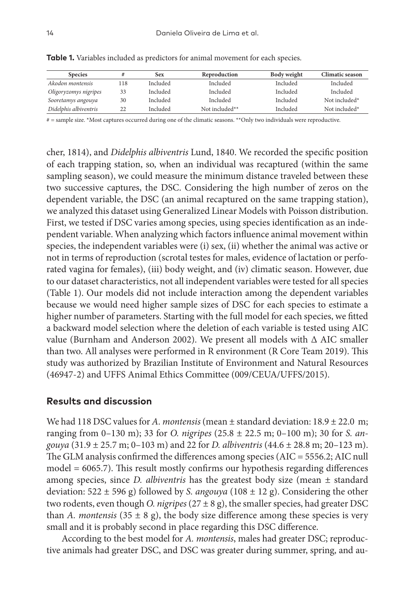| <b>Species</b>        |     | Sex      | Reproduction   | Body weight | Climatic season |
|-----------------------|-----|----------|----------------|-------------|-----------------|
| Akodon montensis      | 118 | Included | Included       | Included    | Included        |
| Oligoryzomys nigripes | 33  | Included | Included       | Included    | Included        |
| Sooretamys angouya    | 30  | Included | Included       | Included    | Not included*   |
| Didelphis albiventris | 22  | Included | Not included** | Included    | Not included*   |

**Table 1.** Variables included as predictors for animal movement for each species.

# = sample size. \*Most captures occurred during one of the climatic seasons. \*\*Only two individuals were reproductive.

cher, 1814), and *Didelphis albiventris* Lund, 1840. We recorded the specific position of each trapping station, so, when an individual was recaptured (within the same sampling season), we could measure the minimum distance traveled between these two successive captures, the DSC. Considering the high number of zeros on the dependent variable, the DSC (an animal recaptured on the same trapping station), we analyzed this dataset using Generalized Linear Models with Poisson distribution. First, we tested if DSC varies among species, using species identification as an independent variable. When analyzing which factors influence animal movement within species, the independent variables were (i) sex, (ii) whether the animal was active or not in terms of reproduction (scrotal testes for males, evidence of lactation or perforated vagina for females), (iii) body weight, and (iv) climatic season. However, due to our dataset characteristics, not all independent variables were tested for all species (Table 1). Our models did not include interaction among the dependent variables because we would need higher sample sizes of DSC for each species to estimate a higher number of parameters. Starting with the full model for each species, we fitted a backward model selection where the deletion of each variable is tested using AIC value (Burnham and Anderson 2002). We present all models with Δ AIC smaller than two. All analyses were performed in R environment (R Core Team 2019). This study was authorized by Brazilian Institute of Environment and Natural Resources (46947-2) and UFFS Animal Ethics Committee (009/CEUA/UFFS/2015).

## **Results and discussion**

We had 118 DSC values for *A. montensis* (mean ± standard deviation: 18.9 ± 22.0 m; ranging from 0–130 m); 33 for *O. nigripes* (25.8 ± 22.5 m; 0–100 m); 30 for *S. angouya* (31.9 ± 25.7 m; 0–103 m) and 22 for *D. albiventris* (44.6 ± 28.8 m; 20–123 m). The GLM analysis confirmed the differences among species (AIC = 5556.2; AIC null model = 6065.7). This result mostly confirms our hypothesis regarding differences among species, since *D. albiventris* has the greatest body size (mean ± standard deviation: 522 ± 596 g) followed by *S. angouya* (108 ± 12 g). Considering the other two rodents, even though *O. nigripes*  $(27 \pm 8 \text{ g})$ , the smaller species, had greater DSC than *A. montensis* (35  $\pm$  8 g), the body size difference among these species is very small and it is probably second in place regarding this DSC difference.

According to the best model for *A. montensis*, males had greater DSC; reproductive animals had greater DSC, and DSC was greater during summer, spring, and au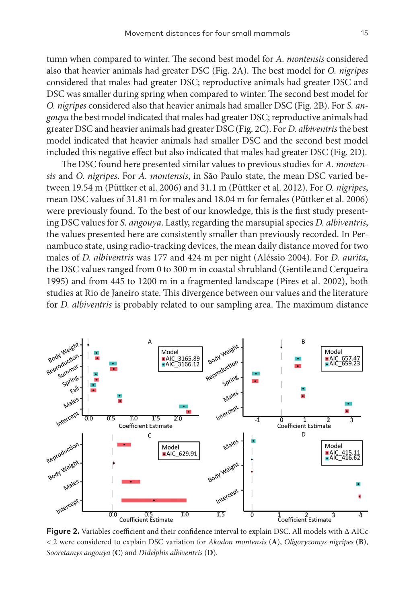tumn when compared to winter. The second best model for *A. montensis* considered also that heavier animals had greater DSC (Fig. 2A). The best model for *O. nigripes* considered that males had greater DSC; reproductive animals had greater DSC and DSC was smaller during spring when compared to winter. The second best model for *O. nigripes* considered also that heavier animals had smaller DSC (Fig. 2B). For *S. angouya* the best model indicated that males had greater DSC; reproductive animals had greater DSC and heavier animals had greater DSC (Fig. 2C). For *D. albiventris* the best model indicated that heavier animals had smaller DSC and the second best model included this negative effect but also indicated that males had greater DSC (Fig. 2D).

The DSC found here presented similar values to previous studies for *A. montensis* and *O. nigripes*. For *A. montensis*, in São Paulo state, the mean DSC varied between 19.54 m (Püttker et al. 2006) and 31.1 m (Püttker et al. 2012). For *O. nigripes*, mean DSC values of 31.81 m for males and 18.04 m for females (Püttker et al. 2006) were previously found. To the best of our knowledge, this is the first study presenting DSC values for *S. angouya*. Lastly, regarding the marsupial species *D. albiventris*, the values presented here are consistently smaller than previously recorded. In Pernambuco state, using radio-tracking devices, the mean daily distance moved for two males of *D. albiventris* was 177 and 424 m per night (Aléssio 2004). For *D. aurita*, the DSC values ranged from 0 to 300 m in coastal shrubland (Gentile and Cerqueira 1995) and from 445 to 1200 m in a fragmented landscape (Pires et al. 2002), both studies at Rio de Janeiro state. This divergence between our values and the literature for *D. albiventris* is probably related to our sampling area. The maximum distance



**Figure 2.** Variables coefficient and their confidence interval to explain DSC. All models with Δ AICc < 2 were considered to explain DSC variation for *Akodon montensis* (**A**), *Oligoryzomys nigripes* (**B**), *Sooretamys angouya* (**C**) and *Didelphis albiventris* (**D**).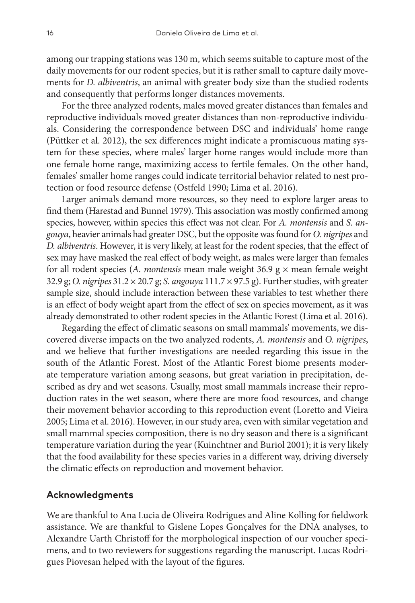among our trapping stations was 130 m, which seems suitable to capture most of the daily movements for our rodent species, but it is rather small to capture daily movements for *D. albiventris*, an animal with greater body size than the studied rodents and consequently that performs longer distances movements.

For the three analyzed rodents, males moved greater distances than females and reproductive individuals moved greater distances than non-reproductive individuals. Considering the correspondence between DSC and individuals' home range (Püttker et al. 2012), the sex differences might indicate a promiscuous mating system for these species, where males' larger home ranges would include more than one female home range, maximizing access to fertile females. On the other hand, females' smaller home ranges could indicate territorial behavior related to nest protection or food resource defense (Ostfeld 1990; Lima et al. 2016).

Larger animals demand more resources, so they need to explore larger areas to find them (Harestad and Bunnel 1979). This association was mostly confirmed among species, however, within species this effect was not clear. For *A. montensis* and *S. angouya*, heavier animals had greater DSC, but the opposite was found for *O. nigripes* and *D. albiventris*. However, it is very likely, at least for the rodent species, that the effect of sex may have masked the real effect of body weight, as males were larger than females for all rodent species (*A. montensis* mean male weight 36.9 g × mean female weight 32.9 g; *O. nigripes* 31.2 × 20.7 g; *S. angouya* 111.7 × 97.5 g). Further studies, with greater sample size, should include interaction between these variables to test whether there is an effect of body weight apart from the effect of sex on species movement, as it was already demonstrated to other rodent species in the Atlantic Forest (Lima et al. 2016).

Regarding the effect of climatic seasons on small mammals' movements, we discovered diverse impacts on the two analyzed rodents, *A. montensis* and *O. nigripes*, and we believe that further investigations are needed regarding this issue in the south of the Atlantic Forest. Most of the Atlantic Forest biome presents moderate temperature variation among seasons, but great variation in precipitation, described as dry and wet seasons. Usually, most small mammals increase their reproduction rates in the wet season, where there are more food resources, and change their movement behavior according to this reproduction event (Loretto and Vieira 2005; Lima et al. 2016). However, in our study area, even with similar vegetation and small mammal species composition, there is no dry season and there is a significant temperature variation during the year (Kuinchtner and Buriol 2001); it is very likely that the food availability for these species varies in a different way, driving diversely the climatic effects on reproduction and movement behavior.

### **Acknowledgments**

We are thankful to Ana Lucia de Oliveira Rodrigues and Aline Kolling for fieldwork assistance. We are thankful to Gislene Lopes Gonçalves for the DNA analyses, to Alexandre Uarth Christoff for the morphological inspection of our voucher specimens, and to two reviewers for suggestions regarding the manuscript. Lucas Rodrigues Piovesan helped with the layout of the figures.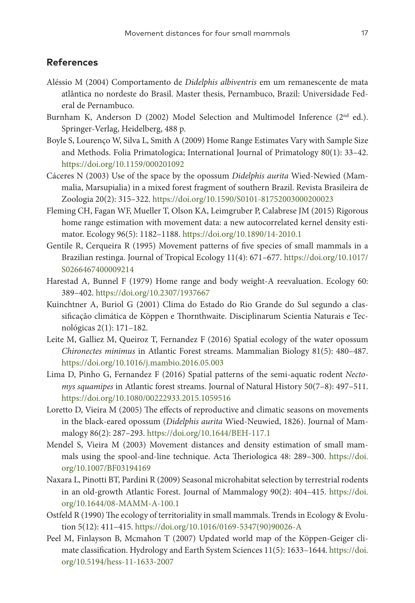## **References**

- Aléssio M (2004) Comportamento de *Didelphis albiventris* em um remanescente de mata atlântica no nordeste do Brasil. Master thesis, Pernambuco, Brazil: Universidade Federal de Pernambuco.
- Burnham K, Anderson D (2002) Model Selection and Multimodel Inference (2nd ed.). Springer-Verlag, Heidelberg, 488 p.
- Boyle S, Lourenço W, Silva L, Smith A (2009) Home Range Estimates Vary with Sample Size and Methods. Folia Primatologica; International Journal of Primatology 80(1): 33–42. <https://doi.org/10.1159/000201092>
- Cáceres N (2003) Use of the space by the opossum *Didelphis aurita* Wied-Newied (Mammalia, Marsupialia) in a mixed forest fragment of southern Brazil. Revista Brasileira de Zoologia 20(2): 315–322. <https://doi.org/10.1590/S0101-81752003000200023>
- Fleming CH, Fagan WF, Mueller T, Olson KA, Leimgruber P, Calabrese JM (2015) Rigorous home range estimation with movement data: a new autocorrelated kernel density estimator. Ecology 96(5): 1182–1188. <https://doi.org/10.1890/14-2010.1>
- Gentile R, Cerqueira R (1995) Movement patterns of five species of small mammals in a Brazilian restinga. Journal of Tropical Ecology 11(4): 671–677. [https://doi.org/10.1017/](https://doi.org/10.1017/S0266467400009214) [S0266467400009214](https://doi.org/10.1017/S0266467400009214)
- Harestad A, Bunnel F (1979) Home range and body weight-A reevaluation. Ecology 60: 389–402. <https://doi.org/10.2307/1937667>
- Kuinchtner A, Buriol G (2001) Clima do Estado do Rio Grande do Sul segundo a classificação climática de Köppen e Thornthwaite. Disciplinarum Scientia Naturais e Tecnológicas 2(1): 171–182.
- Leite M, Galliez M, Queiroz T, Fernandez F (2016) Spatial ecology of the water opossum *Chironectes minimus* in Atlantic Forest streams. Mammalian Biology 81(5): 480–487. <https://doi.org/10.1016/j.mambio.2016.05.003>
- Lima D, Pinho G, Fernandez F (2016) Spatial patterns of the semi-aquatic rodent *Nectomys squamipes* in Atlantic forest streams. Journal of Natural History 50(7–8): 497–511. <https://doi.org/10.1080/00222933.2015.1059516>
- Loretto D, Vieira M (2005) The effects of reproductive and climatic seasons on movements in the black-eared opossum (*Didelphis aurita* Wied-Neuwied, 1826). Journal of Mammalogy 86(2): 287–293. <https://doi.org/10.1644/BEH-117.1>
- Mendel S, Vieira M (2003) Movement distances and density estimation of small mammals using the spool-and-line technique. Acta Theriologica 48: 289–300. [https://doi.](https://doi.org/10.1007/BF03194169) [org/10.1007/BF03194169](https://doi.org/10.1007/BF03194169)
- Naxara L, Pinotti BT, Pardini R (2009) Seasonal microhabitat selection by terrestrial rodents in an old-growth Atlantic Forest. Journal of Mammalogy 90(2): 404–415. [https://doi.](https://doi.org/10.1644/08-MAMM-A-100.1) [org/10.1644/08-MAMM-A-100.1](https://doi.org/10.1644/08-MAMM-A-100.1)
- Ostfeld R (1990) The ecology of territoriality in small mammals. Trends in Ecology & Evolution 5(12): 411–415. [https://doi.org/10.1016/0169-5347\(90\)90026-A](https://doi.org/10.1016/0169-5347(90)90026-A)
- Peel M, Finlayson B, Mcmahon T (2007) Updated world map of the Köppen-Geiger climate classification. Hydrology and Earth System Sciences 11(5): 1633–1644. [https://doi.](https://doi.org/10.5194/hess-11-1633-2007) [org/10.5194/hess-11-1633-2007](https://doi.org/10.5194/hess-11-1633-2007)